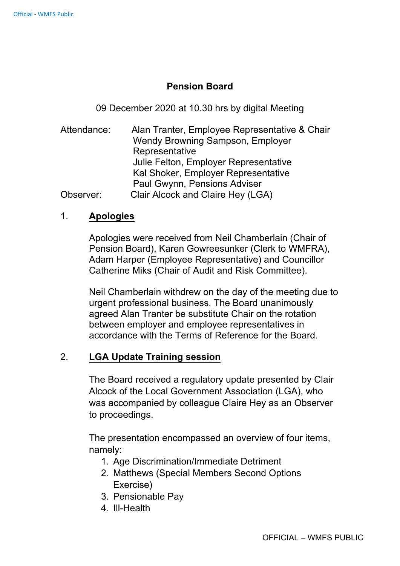## **Pension Board**

09 December 2020 at 10.30 hrs by digital Meeting

Attendance: Alan Tranter, Employee Representative & Chair Wendy Browning Sampson, Employer **Representative** Julie Felton, Employer Representative Kal Shoker, Employer Representative Paul Gwynn, Pensions Adviser Observer: Clair Alcock and Claire Hey (LGA)

## 1. **Apologies**

Apologies were received from Neil Chamberlain (Chair of Pension Board), Karen Gowreesunker (Clerk to WMFRA), Adam Harper (Employee Representative) and Councillor Catherine Miks (Chair of Audit and Risk Committee).

Neil Chamberlain withdrew on the day of the meeting due to urgent professional business. The Board unanimously agreed Alan Tranter be substitute Chair on the rotation between employer and employee representatives in accordance with the Terms of Reference for the Board.

## 2. **LGA Update Training session**

The Board received a regulatory update presented by Clair Alcock of the Local Government Association (LGA), who was accompanied by colleague Claire Hey as an Observer to proceedings.

The presentation encompassed an overview of four items, namely:

- 1. Age Discrimination/Immediate Detriment
- 2. Matthews (Special Members Second Options Exercise)
- 3. Pensionable Pay
- 4. III-Health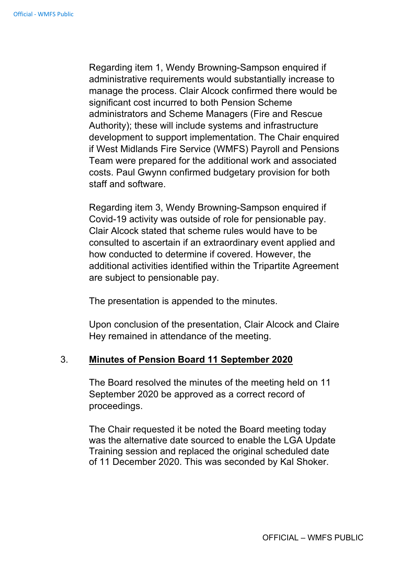Regarding item 1, Wendy Browning-Sampson enquired if administrative requirements would substantially increase to manage the process. Clair Alcock confirmed there would be significant cost incurred to both Pension Scheme administrators and Scheme Managers (Fire and Rescue Authority); these will include systems and infrastructure development to support implementation. The Chair enquired if West Midlands Fire Service (WMFS) Payroll and Pensions Team were prepared for the additional work and associated costs. Paul Gwynn confirmed budgetary provision for both staff and software.

Regarding item 3, Wendy Browning-Sampson enquired if Covid-19 activity was outside of role for pensionable pay. Clair Alcock stated that scheme rules would have to be consulted to ascertain if an extraordinary event applied and how conducted to determine if covered. However, the additional activities identified within the Tripartite Agreement are subject to pensionable pay.

The presentation is appended to the minutes.

Upon conclusion of the presentation, Clair Alcock and Claire Hey remained in attendance of the meeting.

#### 3. **Minutes of Pension Board 11 September 2020**

The Board resolved the minutes of the meeting held on 11 September 2020 be approved as a correct record of proceedings.

The Chair requested it be noted the Board meeting today was the alternative date sourced to enable the LGA Update Training session and replaced the original scheduled date of 11 December 2020. This was seconded by Kal Shoker.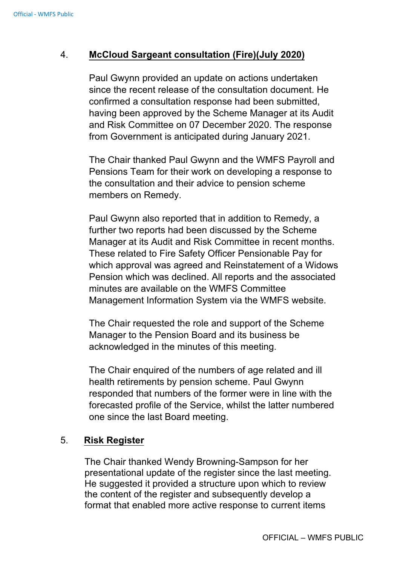# 4. **McCloud Sargeant consultation (Fire)(July 2020)**

Paul Gwynn provided an update on actions undertaken since the recent release of the consultation document. He confirmed a consultation response had been submitted, having been approved by the Scheme Manager at its Audit and Risk Committee on 07 December 2020. The response from Government is anticipated during January 2021.

The Chair thanked Paul Gwynn and the WMFS Payroll and Pensions Team for their work on developing a response to the consultation and their advice to pension scheme members on Remedy.

Paul Gwynn also reported that in addition to Remedy, a further two reports had been discussed by the Scheme Manager at its Audit and Risk Committee in recent months. These related to Fire Safety Officer Pensionable Pay for which approval was agreed and Reinstatement of a Widows Pension which was declined. All reports and the associated minutes are available on the WMFS Committee Management Information System via the WMFS website.

The Chair requested the role and support of the Scheme Manager to the Pension Board and its business be acknowledged in the minutes of this meeting.

The Chair enquired of the numbers of age related and ill health retirements by pension scheme. Paul Gwynn responded that numbers of the former were in line with the forecasted profile of the Service, whilst the latter numbered one since the last Board meeting.

## 5. **Risk Register**

The Chair thanked Wendy Browning-Sampson for her presentational update of the register since the last meeting. He suggested it provided a structure upon which to review the content of the register and subsequently develop a format that enabled more active response to current items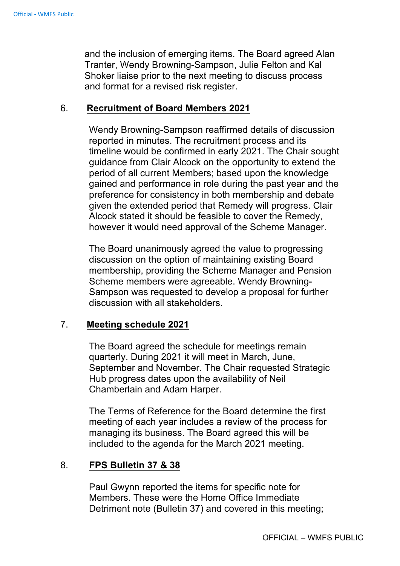and the inclusion of emerging items. The Board agreed Alan Tranter, Wendy Browning-Sampson, Julie Felton and Kal Shoker liaise prior to the next meeting to discuss process and format for a revised risk register.

#### 6. **Recruitment of Board Members 2021**

Wendy Browning-Sampson reaffirmed details of discussion reported in minutes. The recruitment process and its timeline would be confirmed in early 2021. The Chair sought guidance from Clair Alcock on the opportunity to extend the period of all current Members; based upon the knowledge gained and performance in role during the past year and the preference for consistency in both membership and debate given the extended period that Remedy will progress. Clair Alcock stated it should be feasible to cover the Remedy, however it would need approval of the Scheme Manager.

The Board unanimously agreed the value to progressing discussion on the option of maintaining existing Board membership, providing the Scheme Manager and Pension Scheme members were agreeable. Wendy Browning-Sampson was requested to develop a proposal for further discussion with all stakeholders.

## 7. **Meeting schedule 2021**

The Board agreed the schedule for meetings remain quarterly. During 2021 it will meet in March, June, September and November. The Chair requested Strategic Hub progress dates upon the availability of Neil Chamberlain and Adam Harper.

The Terms of Reference for the Board determine the first meeting of each year includes a review of the process for managing its business. The Board agreed this will be included to the agenda for the March 2021 meeting.

## 8. **FPS Bulletin 37 & 38**

Paul Gwynn reported the items for specific note for Members. These were the Home Office Immediate Detriment note (Bulletin 37) and covered in this meeting;